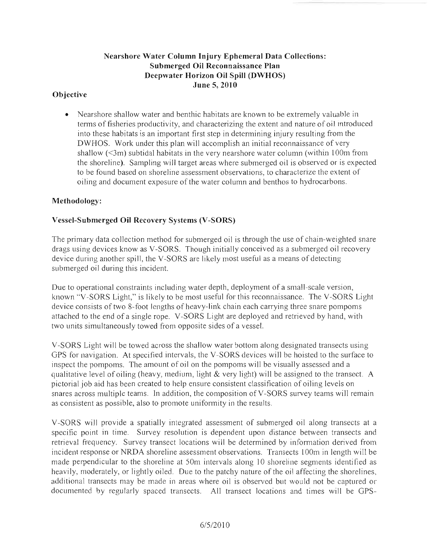### Nearshore Water Column Injury Ephemeral Data Collections: Submerged Oil Reconnaissance Plan Deepwater Horizon Oil Spill (DWHOS) June 5, 2010

## **Objective**

• Nearshore shallow water and benthic habitats are known to be extremely valuable in tenns of fisheries productivity, and characterizing the extent and nature of oil introduced into these habitats is an important first step in detennining injury resulting from the DWHOS. Work under this plan will accomplish an initial reconnaissance of very shallow  $(\leq 3m)$  subtidal habitats in the very nearshore water column (within 100m from the shoreline). Sampling will target areas where submerged oil is observed or is expected to be found based on shoreline assessment observations, to characterize the extent of oiling and document exposure of the water column and benthos to hydrocarbons.

### Methodology:

## Vessel-Submerged Oil Recovery Systems (V-SORS)

The primary data collection method for submerged oil is through the use of chain-weighted snare drags using devices know as V-SORS. Though initially conceived as a submerged oil recovery device during another spill, the V-SORS are likely most useful as a means of detecting submerged oil during this incident.

Due to operational constraints including water depth, deployment of a small-scale version, known "V -SORS Light," is likely to be most useful for this reconnaissance. The V -SORS Light device consists of two 8-foot lengths of heavy-link chain each carrying three snare pompoms attached to the end of a single rope. V -SORS Light are deployed and retrieved by hand, with two units simultaneously towed from opposite sides of a vessel.

V -SORS Light will be towed across the shallow water bottom along designated transects using GPS for navigation. At specified intervals, the V-SORS devices will be hoisted to the surface to inspect the pompoms. The amount of oil on the pompoms will be visually assessed and a qualitative level of oiling (heavy, medium, light & very light) will be assigned to the transect. A pictorial job aid has been created to help ensure consistent classification of oiling levels on snares across multiple teams. In addition, the composition of V-SORS survey teams will remain as consistent as possible, also to promote unifonnity in the results.

V-SORS will provide a spatially integrated assessment of submerged oil along transects at a specific point in time. Survey resolution is dependent upon distance between transects and retrieval frequency. Survey transect locations will be determined by information derived from incident response or NRDA shoreline assessment observations. Transects 100m in length will be made perpendicular to the shoreline at SOm intervals along 10 shoreline segments identified as heavily, moderately, or lightly oiled. Due to the patchy nature of the oil affecting the shorelines, additional transects may be made in areas where oil is observed but would not be captured or documented by regularly spaced transects. All transect locations and times will be GPS-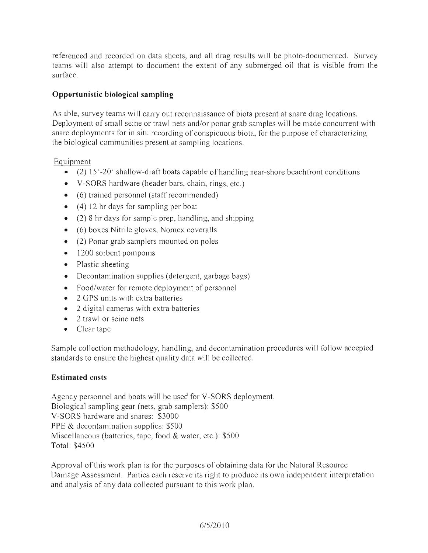referenced and recorded on data sheets, and all drag results will be photo-documented. Survey teams will also attempt to document the extent of any submerged oil that is visible from the surface.

# **Opportunistic biological sampling**

As able, survey teams will carry out reconnaissance of biota present at snare drag locations. Deployment of small seine or trawl nets and/or ponar grab samples will be made concurrent with snare deployments for in situ recording of conspicuous biota, for the purpose of characterizing the biological communities present at sampling locations.

Equipment

- (2) 15'-20' shallow-draft boats capable of handling near-shore beachfront conditions
- V-SORS hardware (header bars, chain, rings, etc.)
- (6) trained personnel (staff recommended)
- $\bullet$  (4) 12 hr days for sampling per boat
- (2) 8 hr days for sample prep, handling, and shipping
- (6) boxes Nitrile gloves, Nomex coveralls
- (2) Ponar grab samplers mounted on poles
- 1200 sorbent pompoms
- Plastic sheeting
- Decontamination supplies (detergent, garbage bags)
- Food/water for remote deployment of personnel
- 2 GPS units with extra batteries
- 2 digital cameras with extra batteries
- 2 trawl or seine nets
- Clear tape

Sample collection methodology, handling, and decontamination procedures will follow accepted standards to ensure the highest quality data will be collected.

### **Estimated costs**

Agency personnel and boats will be used for V-SORS deployment. Biological sampling gear (nets, grab samplers): \$500 V -SORS hardware and snares: \$3000 PPE & decontamination supplies: \$500 Miscellaneous (batteries, tape, food & water, etc.): \$500 Total: \$4500

Approval of this work plan is for the purposes of obtaining data for the Natural Resource Damage Assessment. Parties each reserve its right to produce its own independent interpretation and analysis of any data collected pursuant to this work plan.